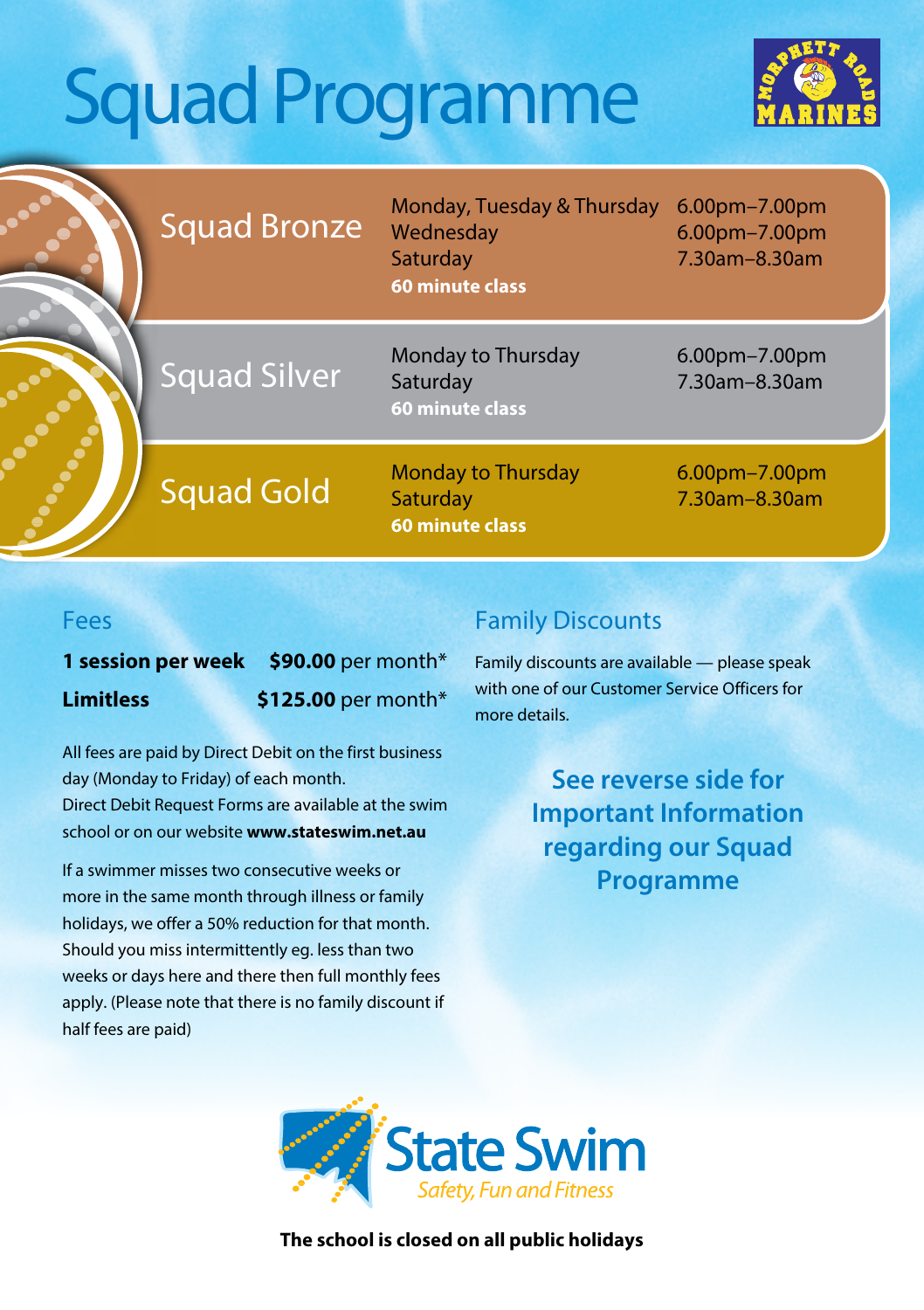# Squad Programme



|   | <b>Squad Bronze</b> | Monday, Tuesday & Thursday<br>Wednesday<br>Saturday<br><b>60 minute class</b> | 6.00pm-7.00pm<br>6.00pm-7.00pm<br>7.30am-8.30am |
|---|---------------------|-------------------------------------------------------------------------------|-------------------------------------------------|
|   | <b>Squad Silver</b> | Monday to Thursday<br>Saturday<br>60 minute class                             | 6.00pm-7.00pm<br>7.30am-8.30am                  |
| B | <b>Squad Gold</b>   | <b>Monday to Thursday</b><br>Saturday<br><b>60 minute class</b>               | $6.00$ pm $-7.00$ pm<br>7.30am-8.30am           |

#### Fees

**1 session per week \$90.00** per month\* **Limitless** \$125.00 per month\*

All fees are paid by Direct Debit on the first business day (Monday to Friday) of each month. Direct Debit Request Forms are available at the swim school or on our website **www.stateswim.net.au**

If a swimmer misses two consecutive weeks or more in the same month through illness or family holidays, we offer a 50% reduction for that month. Should you miss intermittently eg. less than two weeks or days here and there then full monthly fees apply. (Please note that there is no family discount if half fees are paid)

### Family Discounts

Family discounts are available — please speak with one of our Customer Service Officers for more details.

> **See reverse side for Important Information regarding our Squad Programme**



**The school is closed on all public holidays**